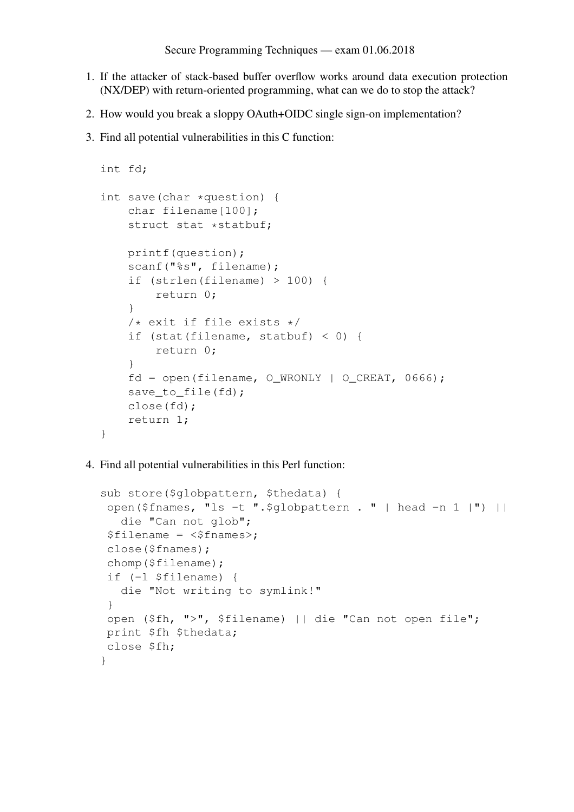- 1. If the attacker of stack-based buffer overflow works around data execution protection (NX/DEP) with return-oriented programming, what can we do to stop the attack?
- 2. How would you break a sloppy OAuth+OIDC single sign-on implementation?
- 3. Find all potential vulnerabilities in this C function:

```
int fd;
int save(char *question) {
    char filename[100];
    struct stat *statbuf;
    printf(question);
    scanf("%s", filename);
    if (strlen(filename) > 100) {
        return 0;
    }
    /* exit if file exists */if (stat(filename, statbuf) < 0) {
        return 0;
    }
    fd = open(filename, OWRONLY | O CREAT, 0666);save_to_file(fd);
    close(fd);
    return 1;
}
```
4. Find all potential vulnerabilities in this Perl function:

```
sub store($globpattern, $thedata) {
open($fnames, "ls -t ".$globpattern . " | head -n 1 |") ||
   die "Can not glob";
 $filename = <$fnames>;
close($fnames);
chomp($filename);
if (-l $filename) {
   die "Not writing to symlink!"
 }
open ($fh, ">", $filename) || die "Can not open file";
print $fh $thedata;
close $fh;
}
```